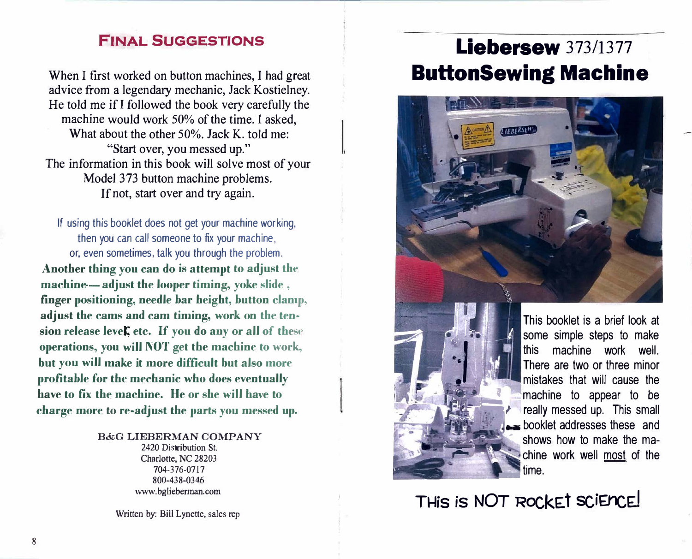### **FINAL SUGGESTIONS**

When I first worked on button machines, I had great advice from a legendary mechanic, Jack Kostielney. He told me if I followed the book very carefully the machine would work 50% of the time. I asked, What about the other 50%. Jack K, told me: "Start over, you messed up." The information in this book will solve most of your Model 373 button machine problems. If not, start over and try again.

If using this booklet does not get your machine working, then you can call someone to fix your machine, or, even sometimes, talk you through the problem. Another thing you can do is attempt to adjust the machine-adjust the looper timing, yoke slide, finger positioning, needle bar height, button clamp, adjust the cams and cam timing, work on the tension release level, etc. If you do any or all of these operations, you will NOT get the machine to work, but you will make it more difficult but also more profitable for the mechanic who does eventually have to fix the machine. He or she will have to charge more to re-adjust the parts you messed up.

B&G LIEBERMAN COMPANY

2420 Distribution St. Charlotte, NC 28203 704-376-0717 800-438-0346 www.bglieberman.com

Written by: Bill Lynette, sales rep

# Liebersew 373/1377 **ButtonSewing Machine**

**LIEBERSEH** 



This booklet is a brief look at some simple steps to make machine work well. this There are two or three minor mistakes that will cause the machine to appear to be really messed up. This small booklet addresses these and shows how to make the machine work well most of the time.

THIS IS NOT ROCKET SCIENCE!

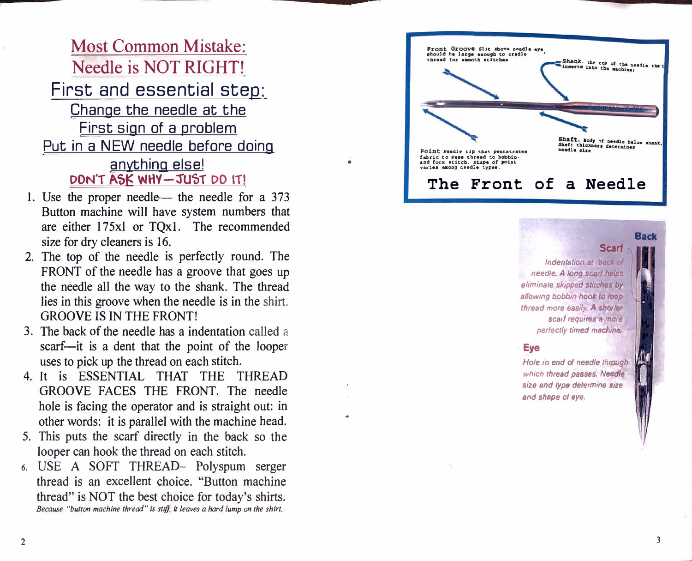---------

# Most Common Mistake: Needle is NOT RIGHT! First and essential step: Change the needle at the First sign of a problem Put in a NEW needle before doing anything else! DON'T ASK WHY-JUST DO IT!

- 1. Use the proper needle the needle for a 373 Button machine will have system numbers that are either 175xl or TQxl. The recommended size for dry cleaners is 16.
- 2. The top of the needle is perfectly round. The FRONT of the needle has a groove that goes up the needle all the way to the shank. The thread lies in this groove when the needle is in the shirt. GROOVE IS IN THE FRONT!
- 3. The back of the needle has a indentation called a scarf—it is a dent that the point of the looper uses to pick up the thread on each stitch.
- 4. It is ESSENTIAL THAT THE THREAD GROOVE FACES THE FRONT. The needle hole is facing the operator and is straight out: in other words: it is parallel with the machine head.
- 5. This puts the scarf directly in the back so the looper can hook the thread on each stitch.
- **6.** USE A SOFT THREAD- Polyspum serger thread is an excellent choice. ''Button machine thread'' is NOT the best choice for today's shirts. *Because "button machine thread" is stiff, it leaves a hard lump on the shirt.*

'  $\mathbf{F}$ 

 $\mathbf{r}$ 

**Front Groove Slit &bo•• naadla** *•Y•*  **1ho�ld ba larg• enough to eradla**  thread for smooth suitches Shank, the top of the needle that

> Hole in end of needle through *�vhich thread passes. Needle*  size and type determine size *and shape ol eye.*

..

Point Needle *tip* that pentetrates fabric to pass thread to bobbin**a.nd foni 1titeb. Shape of point**  varies ezong needle types.

Shaft, Body of needle below shank, Shaft thickness determines needle size

inserts into the machine,

### The Front of a Needle

#### **Scarf Back**

*lndentation at back of* needle. A long scart helps *eliminate skipped stitches by* allowing bobbin hook to loop *thread more easily . .A shorter scarf requires a more*  perfectly timed machine.

#### **· Eye**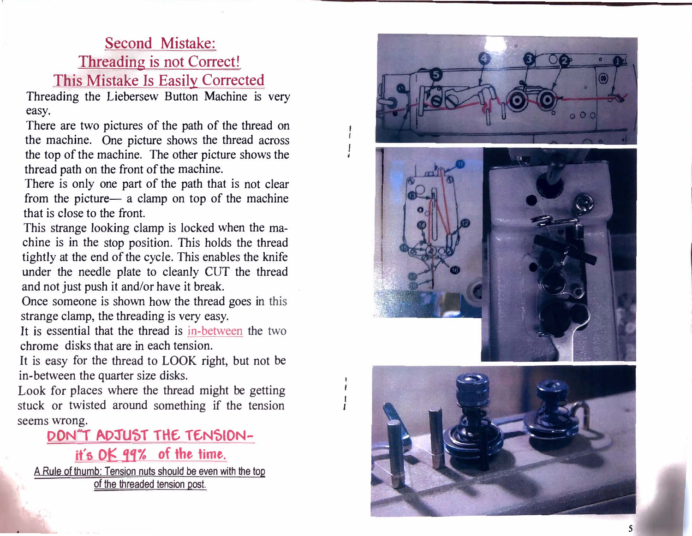# Second Mistake:

Threading is not Correct!

This Mistake Is Easily Corrected

Threading the Liebersew Button Machine is very easy.

There are two pictures of the path of the thread on the machine. One picture shows the thread across the top of the machine. The other picture shows the thread path on the front of the machine.

There is only one part of the path that is not clear from the picture a clamp on top of the machine that is close to the front.

A Rule of thumb: Tension nuts should be *even* with the top of the threaded tension post.

This strange looking clamp is locked when the machine is in the stop position. This holds the thread tightly at the end of the cycle. This enables the knife under the needle plate to cleanly CUT the thread and not just push it and/or have it break.

Once someone is shown how the thread goes in this strange clamp, the threading is very easy.

It is essential that the thread is in-between the two chrome disks that are in each tension.

It is easy for the thread to LOOK right, but not be in-between the quarter size disks.

Look for places where the thread might be getting stuck or twisted around something if the tension seems wrong.

*A* 



# **D O N''T ADJU'5T TH£ T£N'510N-**

**it's OK 99% of the time.** 

' *t I i* 

*�* 

r

*I* 

*I*